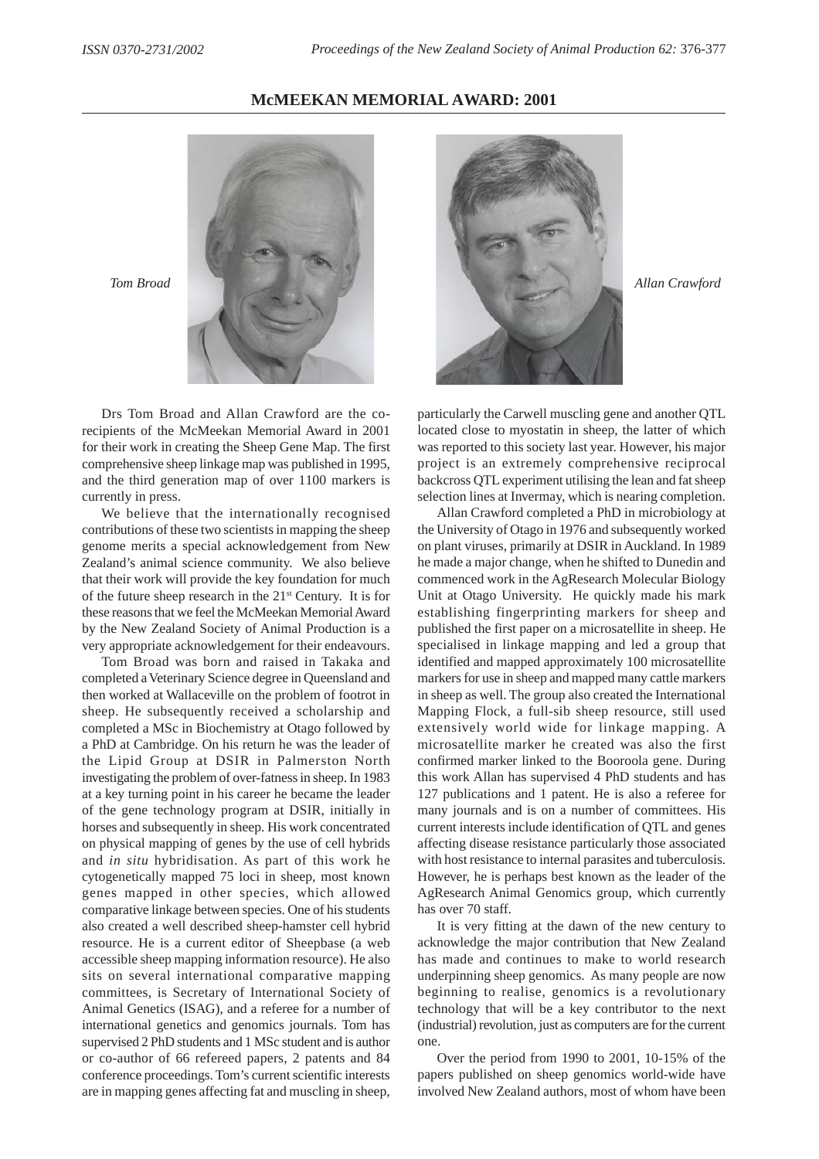**McMEEKAN MEMORIAL AWARD: 2001**



Drs Tom Broad and Allan Crawford are the corecipients of the McMeekan Memorial Award in 2001 for their work in creating the Sheep Gene Map. The first comprehensive sheep linkage map was published in 1995, and the third generation map of over 1100 markers is currently in press.

We believe that the internationally recognised contributions of these two scientists in mapping the sheep genome merits a special acknowledgement from New Zealand's animal science community. We also believe that their work will provide the key foundation for much of the future sheep research in the 21st Century. It is for these reasons that we feel the McMeekan Memorial Award by the New Zealand Society of Animal Production is a very appropriate acknowledgement for their endeavours.

Tom Broad was born and raised in Takaka and completed a Veterinary Science degree in Queensland and then worked at Wallaceville on the problem of footrot in sheep. He subsequently received a scholarship and completed a MSc in Biochemistry at Otago followed by a PhD at Cambridge. On his return he was the leader of the Lipid Group at DSIR in Palmerston North investigating the problem of over-fatness in sheep. In 1983 at a key turning point in his career he became the leader of the gene technology program at DSIR, initially in horses and subsequently in sheep. His work concentrated on physical mapping of genes by the use of cell hybrids and *in situ* hybridisation. As part of this work he cytogenetically mapped 75 loci in sheep, most known genes mapped in other species, which allowed comparative linkage between species. One of his students also created a well described sheep-hamster cell hybrid resource. He is a current editor of Sheepbase (a web accessible sheep mapping information resource). He also sits on several international comparative mapping committees, is Secretary of International Society of Animal Genetics (ISAG), and a referee for a number of international genetics and genomics journals. Tom has supervised 2 PhD students and 1 MSc student and is author or co-author of 66 refereed papers, 2 patents and 84 conference proceedings. Tom's current scientific interests are in mapping genes affecting fat and muscling in sheep,



particularly the Carwell muscling gene and another QTL located close to myostatin in sheep, the latter of which was reported to this society last year. However, his major project is an extremely comprehensive reciprocal backcross QTL experiment utilising the lean and fat sheep selection lines at Invermay, which is nearing completion.

Allan Crawford completed a PhD in microbiology at the University of Otago in 1976 and subsequently worked on plant viruses, primarily at DSIR in Auckland. In 1989 he made a major change, when he shifted to Dunedin and commenced work in the AgResearch Molecular Biology Unit at Otago University. He quickly made his mark establishing fingerprinting markers for sheep and published the first paper on a microsatellite in sheep. He specialised in linkage mapping and led a group that identified and mapped approximately 100 microsatellite markers for use in sheep and mapped many cattle markers in sheep as well. The group also created the International Mapping Flock, a full-sib sheep resource, still used extensively world wide for linkage mapping. A microsatellite marker he created was also the first confirmed marker linked to the Booroola gene. During this work Allan has supervised 4 PhD students and has 127 publications and 1 patent. He is also a referee for many journals and is on a number of committees. His current interests include identification of QTL and genes affecting disease resistance particularly those associated with host resistance to internal parasites and tuberculosis. However, he is perhaps best known as the leader of the AgResearch Animal Genomics group, which currently has over 70 staff.

It is very fitting at the dawn of the new century to acknowledge the major contribution that New Zealand has made and continues to make to world research underpinning sheep genomics. As many people are now beginning to realise, genomics is a revolutionary technology that will be a key contributor to the next (industrial) revolution, just as computers are for the current one.

Over the period from 1990 to 2001, 10-15% of the papers published on sheep genomics world-wide have involved New Zealand authors, most of whom have been